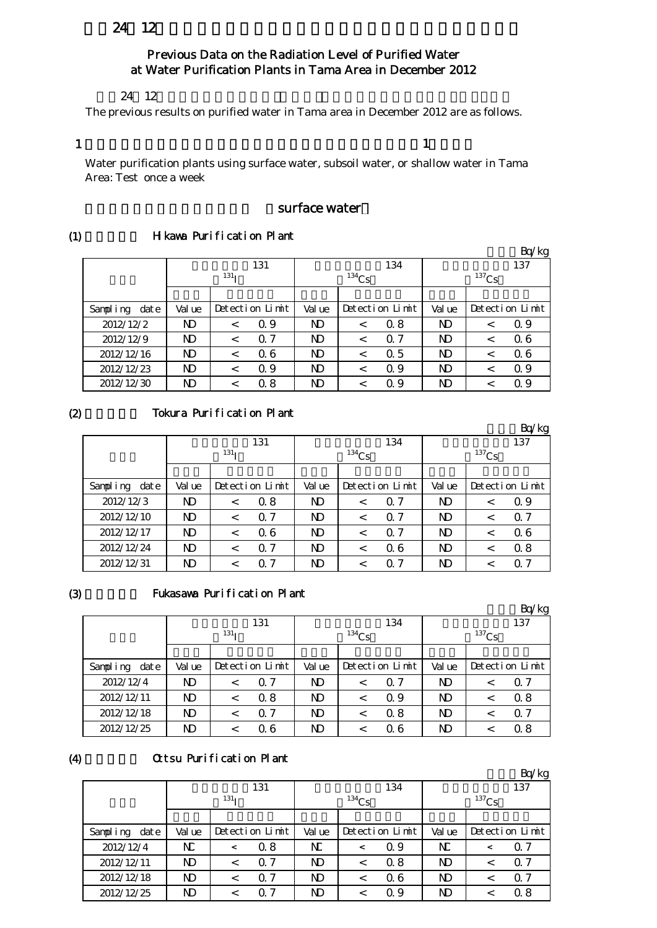# 24 12

## Previous Data on the Radiation Level of Purified Water at Water Purification Plants in Tama Area in December 2012

#### $24 \t12$

The previous results on purified water in Tama area in December 2012 are as follows.

#### 1

 $\mathbf{1}$  , which is the set of the set of the set of the set of the set of the set of the set of the set of the set of the set of the set of the set of the set of the set of the set of the set of the set of the set of the

Water purification plants using surface water, subsoil water, or shallow water in Tama Area: Test once a week

### surface water

#### (1) H kawa Purification Plant

|                  |                |                  |                 |                |          |                 |          |   | Bq/kg           |
|------------------|----------------|------------------|-----------------|----------------|----------|-----------------|----------|---|-----------------|
|                  |                |                  | 131             |                |          | 134             |          |   | 137             |
|                  |                | 131 <sub>T</sub> |                 |                | $134$ Cs |                 | $137$ Cs |   |                 |
|                  |                |                  |                 |                |          |                 |          |   |                 |
| Sampling<br>date | Val ue         |                  | Detection Limit | Val ue         |          | Detection Limit | Val ue   |   | Detection Limit |
| 2012/12/2        | ND             | $\,<\,$          | Q 9             | ND             | $\,<\,$  | 0.8             | ND       | < | Q 9             |
| 2012/12/9        | N <sub>D</sub> | $\,<\,$          | $\Omega$ 7      | N <sub>D</sub> | $\,<\,$  | $\Omega$ 7      | ND       | < | 0.6             |
| 2012/12/16       | ND             | $\,<\,$          | 06              | ND             | $\,<\,$  | 0.5             | ND       |   | 0.6             |
| 2012/12/23       | ND             | $\,<\,$          | Q 9             | N <sub>D</sub> | $\,<\,$  | Q 9             | ND       | < | Q 9             |
| 2012/12/30       | ND             | $\,<\,$          | 0.8             | ND             | <        | Q 9             | ND       |   | Q 9             |

 $(2)$ 

#### Tokura Purification Plant

|                  |           |                  |                 |           |                |                 |        |          | Bq/kg           |
|------------------|-----------|------------------|-----------------|-----------|----------------|-----------------|--------|----------|-----------------|
|                  |           |                  | 131             |           |                | 134             |        |          | 137             |
|                  |           | 131 <sub>T</sub> |                 |           | $134$ Cs       |                 |        | $137$ Cs |                 |
|                  |           |                  |                 |           |                |                 |        |          |                 |
| Sampling<br>date | Val ue    |                  | Detection Limit | Val ue    |                | Detection Limit | Val ue |          | Detection Limit |
| 2012/12/3        | ND        | $\,<\,$          | 0.8             | N)        | $\overline{<}$ | $\Omega$ 7      | ND     | $\,<\,$  | Q 9             |
| 2012/12/10       | <b>ND</b> | $\,<\,$          | $\Omega$ 7      | <b>ND</b> | $\,<\,$        | $\Omega$ 7      | ND     | $\,<\,$  | 0.7             |
| 2012/12/17       | <b>ND</b> | $\,<\,$          | 06              | N)        | <              | $\Omega$ 7      | ND     | $\,<\,$  | 0.6             |
| 2012/12/24       | <b>ND</b> | $\,<\,$          | $\Omega$ 7      | N)        | $\,<\,$        | 06              | ND     | $\,<\,$  | 0.8             |
| 2012/12/31       | ND        |                  | $\Omega$ 7      | ND        | <              | $\Omega$ 7      | ND     |          | $\Omega$ 7      |

(3)

(4)

#### Fukasawa Purification Plant

|                  |        |                  |                 |    |                 |            |        |          | Bq/kg           |  |
|------------------|--------|------------------|-----------------|----|-----------------|------------|--------|----------|-----------------|--|
|                  |        |                  | 131             |    |                 | 134        |        |          | 137             |  |
|                  |        | 131 <sub>T</sub> |                 |    | $134$ Cs        |            |        | $137$ Cs |                 |  |
|                  |        |                  |                 |    |                 |            |        |          |                 |  |
| Sampling<br>date | Val ue |                  | Detection Limit |    | Detection Limit |            | Val ue |          | Detection Limit |  |
| 2012/12/4        | ND     |                  | $\Omega$ 7      | N) | <               | $\Omega$ 7 | ND     |          | $\Omega$ 7      |  |
| 2012/12/11       | ND     |                  | 0.8             | ND | $\,<\,$         | 0.9        | ND     |          | 0.8             |  |
| 2012/12/18       | ND     |                  | 0.7             | ND | $\,<\,$         | 0.8        | ND     |          | 0.7             |  |
| 2012/12/25       | ND     |                  | 06              | ND |                 | Q 6        | ND     |          | 0.8             |  |

#### Ottsu Purification Plant

|                  |                |                  |                 |        |            |                 |            |  | Bq/kg           |
|------------------|----------------|------------------|-----------------|--------|------------|-----------------|------------|--|-----------------|
|                  |                |                  | 131             |        |            | 134             |            |  | 137             |
|                  |                | 131 <sub>T</sub> |                 |        | $^{134}Cs$ |                 | $^{137}Cs$ |  |                 |
|                  |                |                  |                 |        |            |                 |            |  |                 |
| Sampling<br>date | Val ue         |                  | Detection Limit | Val ue |            | Detection Limit | Val ue     |  | Detection Limit |
| 2012/12/4        | $N_{\rm L}$    | $\,<\,$          | $\alpha$ 8      | NC     | $\,<\,$    | Q 9             | N          |  | $\Omega$ 7      |
| 2012/12/11       | ND             | $\,<\,$          | $\Omega$ 7      | N)     | $\,<\,$    | 0.8             | ND         |  | 0.7             |
| 2012/12/18       | N <sub>D</sub> | $\,<\,$          | $\Omega$ 7      | ND.    | $\,<\,$    | 06              | <b>ND</b>  |  | 0.7             |
| 2012/12/25       | ND             |                  | $\Omega$ 7      | ND.    | <          | 0.9             | N)         |  | 0.8             |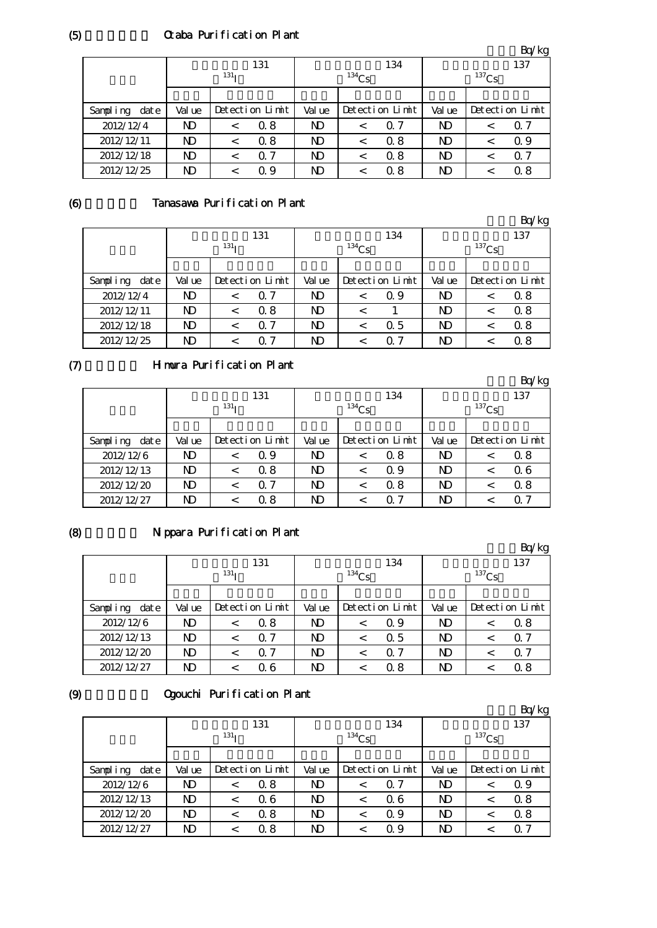# Ctaba Purification Plant

|                   |        |                  |                 |        |                 |            |        |          | Bq/kg           |
|-------------------|--------|------------------|-----------------|--------|-----------------|------------|--------|----------|-----------------|
|                   |        |                  | 131             |        |                 | 134        |        |          | 137             |
|                   |        | 131 <sub>T</sub> |                 |        | $134$ Cs        |            |        | $137$ Cs |                 |
|                   |        |                  |                 |        |                 |            |        |          |                 |
| dat e<br>Sampling | Val ue |                  | Detection Limit | Val ue | Detection Limit |            | Val ue |          | Detection Limit |
| 2012/12/4         | ND     | $\,<\,$          | 0.8             | ND     | $\,<\,$         | $\Omega$ 7 | ND.    |          | Q 7             |
| 2012/12/11        | ND     | $\,<\,$          | 0.8             | N)     | $\,<\,$         | 0.8        | ND     |          | Q 9             |
| 2012/12/18        | ND     | $\,<\,$          | $\Omega$ 7      | N)     | <               | 0.8        | ND     |          | Q 7             |
| 2012/12/25        | ND     | <                | Q 9             | N)     | <               | Q 8        | ND     |          | 0. 8            |

# Tanasawa Purification Plant

|                  |        |                  |                 |                |          |                 |                |          | Bq/kg           |
|------------------|--------|------------------|-----------------|----------------|----------|-----------------|----------------|----------|-----------------|
|                  |        |                  | 131             |                |          | 134             |                |          | 137             |
|                  |        | 131 <sub>T</sub> |                 |                | $134$ Cs |                 |                | $137$ Cs |                 |
|                  |        |                  |                 |                |          |                 |                |          |                 |
| Sampling<br>date | Val ue |                  | Detection Limit | Val ue         |          | Detection Limit | Val ue         |          | Detection Limit |
| 2012/12/4        | ND     | $\,<\,$          | $\Omega$ 7      | N)             | $\,<\,$  | Q 9             | N <sub>D</sub> |          | 0.8             |
| 2012/12/11       | ND     | $\,<\,$          | 0.8             | N <sub>D</sub> | $\,<\,$  |                 | N <sub>D</sub> | <        | 0.8             |
| 2012/12/18       | ND     | $\,<\,$          | $\Omega$ 7      | <b>ND</b>      | $\,<\,$  | 0.5             | N <sub>D</sub> | <        | 0.8             |
| 2012/12/25       | ND     |                  | 0.7             | N)             |          | 0. 7            | N <sub>D</sub> |          | 0.8             |

# $(7)$

# Himura Purification Plant

|                  |           |                  |                 |                |                 |            |           |            | Bq/kg           |
|------------------|-----------|------------------|-----------------|----------------|-----------------|------------|-----------|------------|-----------------|
|                  |           |                  | 131             |                |                 | 134        |           |            | 137             |
|                  |           | 131 <sub>T</sub> |                 |                | $^{134}Cs$      |            |           | $^{137}Cs$ |                 |
|                  |           |                  |                 |                |                 |            |           |            |                 |
| Sampling<br>date | Val ue    |                  | Detection Limit | Val ue         | Detection Limit |            | Val ue    |            | Detection Limit |
| 2012/12/6        | ND        | $\,<\,$          | 0.9             | ND             | $\,<\,$         | 0.8        | ND        |            | 0.8             |
| 2012/12/13       | ND        | $\,<\,$          | 0.8             | ND             | $\,<\,$         | Q 9        | ND        |            | 06              |
| 2012/12/20       | <b>ND</b> | $\,<\,$          | $\Omega$ 7      | ND             | $\,<\,$         | 0.8        | N)        |            | 0.8             |
| 2012/12/27       | ND        |                  | 0.8             | N <sub>D</sub> | <               | $\Omega$ 7 | <b>ND</b> |            | 0.7             |

# (8)

# Nippara Purification Plant

|                  |           |                  |                 |        |            |                 |        |          | Bq/kg           |  |
|------------------|-----------|------------------|-----------------|--------|------------|-----------------|--------|----------|-----------------|--|
|                  |           |                  | 131             |        |            | 134             |        |          | 137             |  |
|                  |           | 131 <sub>T</sub> |                 |        | $^{134}Cs$ |                 |        | $137$ Cs |                 |  |
|                  |           |                  |                 |        |            |                 |        |          |                 |  |
| Sampling<br>date | Val ue    |                  | Detection Limit | Val ue |            | Detection Limit | Val ue |          | Detection Limit |  |
| 2012/12/6        | <b>ND</b> | $\,<\,$          | 0.8             | ND     | <          | Q 9             | ND     |          | 0.8             |  |
| 2012/12/13       | <b>ND</b> | $\,<\,$          | $\Omega$ 7      | ND     | <          | 0.5             | ND     |          | Q 7             |  |
| 2012/12/20       | <b>ND</b> |                  | $\Omega$ 7      | ND     | <          | $\Omega$ 7      | ND     |          | Q 7             |  |
| 2012/12/27       | ND        |                  | 06              | ND     | <          | 0.8             | ND     |          | 0.8             |  |

## (9)

# Ogouchi Purification Plant

|                  | $\sim$ |                  |                 |        |          |                 |                |  | Bq/kg           |
|------------------|--------|------------------|-----------------|--------|----------|-----------------|----------------|--|-----------------|
|                  |        |                  | 131             |        |          | 134             |                |  | 137             |
|                  |        | 131 <sub>T</sub> |                 |        | $134$ Cs |                 | $137$ Cs       |  |                 |
|                  |        |                  |                 |        |          |                 |                |  |                 |
| Sampling<br>date | Val ue |                  | Detection Limit | Val ue |          | Detection Limit | Val ue         |  | Detection Limit |
| 2012/12/6        | ND     | $\,<$            | 0.8             | ND     | $\,<\,$  | $\Omega$ 7      | ND             |  | Q 9             |
| 2012/12/13       | ND     | <                | 06              | ND     | $\,<\,$  | Q 6             | N <sub>D</sub> |  | 0.8             |
| 2012/12/20       | ND     | $\,<$            | 0.8             | ND.    | $\,<\,$  | Q 9             | N <sub>D</sub> |  | 0.8             |
| 2012/12/27       | ND     | <                | 0.8             | ND.    | <        | Q 9             | ND             |  | Q 7             |

(6)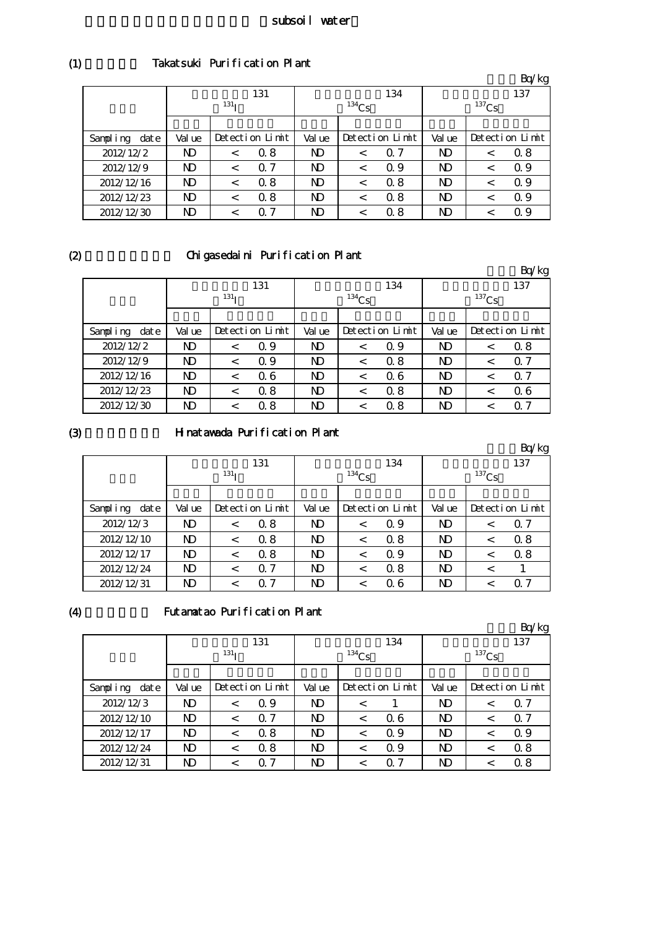## Takatsuki Purification Plant

|                  |        |                  |                 |                |          |                 |                |          | Bq/kg           |
|------------------|--------|------------------|-----------------|----------------|----------|-----------------|----------------|----------|-----------------|
|                  |        |                  | 131             |                |          | 134             |                |          | 137             |
|                  |        | 131 <sub>T</sub> |                 |                | $134$ Cs |                 |                | $137$ Cs |                 |
|                  |        |                  |                 |                |          |                 |                |          |                 |
| Sampling<br>date | Val ue |                  | Detection Limit | Val ue         |          | Detection Limit | Val ue         |          | Detection Limit |
| 2012/12/2        | ND     | $\,<\,$          | Q 8             | N <sub>D</sub> | $\,<\,$  | $\Omega$ 7      | ND             |          | 0.8             |
| 2012/12/9        | ND     | $\,<\,$          | $\Omega$ 7      | N <sub>D</sub> | $\,<\,$  | 0.9             | N <sub>D</sub> |          | Q 9             |
| 2012/12/16       | ND     | $\,<\,$          | 0.8             | N <sub>D</sub> | $\,<\,$  | 0.8             | ND             |          | Q 9             |
| 2012/12/23       | ND     | $\,<\,$          | 0.8             | N <sub>D</sub> | $\,<\,$  | 0.8             | N)             |          | Q 9             |
| 2012/12/30       | ND     | <                | -7<br>Ω         | N <sub>D</sub> | $\,<\,$  | 0.8             | ND             |          | Q 9             |

 $(2)$ 

# Chigasedaini Purification Plant

|                  |                |                  |                 |        |          |                 |            |  | Bq/kg           |
|------------------|----------------|------------------|-----------------|--------|----------|-----------------|------------|--|-----------------|
|                  |                |                  | 131             |        |          | 134             |            |  | 137             |
|                  |                | 131 <sub>T</sub> |                 |        | $134$ Cs |                 | $^{137}Cs$ |  |                 |
|                  |                |                  |                 |        |          |                 |            |  |                 |
| Sampling<br>date | Val ue         |                  | Detection Limit | Val ue |          | Detection Limit | Val ue     |  | Detection Limit |
| 2012/12/2        | ND             | $\,<\,$          | 0.9             | ND     | $\,<\,$  | 0.9             | N)         |  | 0.8             |
| 2012/12/9        | ND             | $\,<\,$          | 0.9             | ND     | $\,<\,$  | 0.8             | <b>ND</b>  |  | 0.7             |
| 2012/12/16       | ND             | $\,<\,$          | 06              | N)     | $\,<\,$  | 06              | <b>ND</b>  |  | 0.7             |
| 2012/12/23       | N <sub>D</sub> | <                | 0.8             | ND     | $\,<\,$  | 0.8             | <b>ND</b>  |  | 06              |
| 2012/12/30       | ND             | $\,<\,$          | 0.8             | ND     | $\,<\,$  | Q 8             | ND         |  | Q 7             |

(3)

# Hinatawada Purification Plant

|                  |        |                  |                 |        |          |                 |           |          | Bq/kg           |
|------------------|--------|------------------|-----------------|--------|----------|-----------------|-----------|----------|-----------------|
|                  |        |                  | 131             |        |          | 134             | 137       |          |                 |
|                  |        | 131 <sub>T</sub> |                 |        | $134$ Cs |                 |           | $137$ Cs |                 |
|                  |        |                  |                 |        |          |                 |           |          |                 |
| Sampling<br>date | Val ue |                  | Detection Limit | Val ue |          | Detection Limit | Val ue    |          | Detection Limit |
| 2012/12/3        | ND     | $\,<\,$          | 0.8             | ND     | $\,<\,$  | Q 9             | N)        |          | 0.7             |
| 2012/12/10       | ND     | $\,<\,$          | 0.8             | N)     | $\,<\,$  | 0.8             | N)        |          | 0.8             |
| 2012/12/17       | ND     | $\,<\,$          | 0.8             | ND     | $\,<\,$  | Q 9             | ND        |          | 0.8             |
| 2012/12/24       | ND     | $\,<\,$          | $\Omega$ 7      | N)     | $\,<\,$  | 0.8             | <b>ND</b> | ✓        |                 |
| 2012/12/31       | ND     |                  | 7<br>Ω          | N)     | $\,<\,$  | 06              | ND        |          | Q 7             |

(4)

# Futamatao Purification Plant

|                  |                  |                 |            |                |                 |            |           |         | Bq/kg           |  |  |
|------------------|------------------|-----------------|------------|----------------|-----------------|------------|-----------|---------|-----------------|--|--|
|                  |                  | 131             |            |                | 134             |            |           |         | 137             |  |  |
|                  | 131 <sub>T</sub> |                 |            | $134$ Cs       |                 |            | $137$ Cs  |         |                 |  |  |
|                  |                  |                 |            |                |                 |            |           |         |                 |  |  |
| Sampling<br>date | Val ue           | Detection Limit |            | Val ue         | Detection Limit |            | Val ue    |         | Detection Limit |  |  |
| 2012/12/3        | ND               | $\,<\,$         | Q 9        | N <sub>D</sub> | $\,<\,$         |            | N)        | <       | 0.7             |  |  |
| 2012/12/10       | <b>ND</b>        | $\,<\,$         | $\Omega$ 7 | <b>ND</b>      | $\,<\,$         | 06         | <b>ND</b> | $\,<\,$ | 0.7             |  |  |
| 2012/12/17       | ND               | $\,<\,$         | 0.8        | <b>ND</b>      | $\,<\,$         | 0.9        | <b>ND</b> |         | Q 9             |  |  |
| 2012/12/24       | ND               | $\,<\,$         | 0.8        | N <sub>D</sub> | $\,<\,$         | 0.9        | ND        | <       | 0.8             |  |  |
| 2012/12/31       | ND               | $\,<\,$         | 7<br>0     | ND.            | <               | $\Omega$ 7 | ND        |         | 0.8             |  |  |

(1)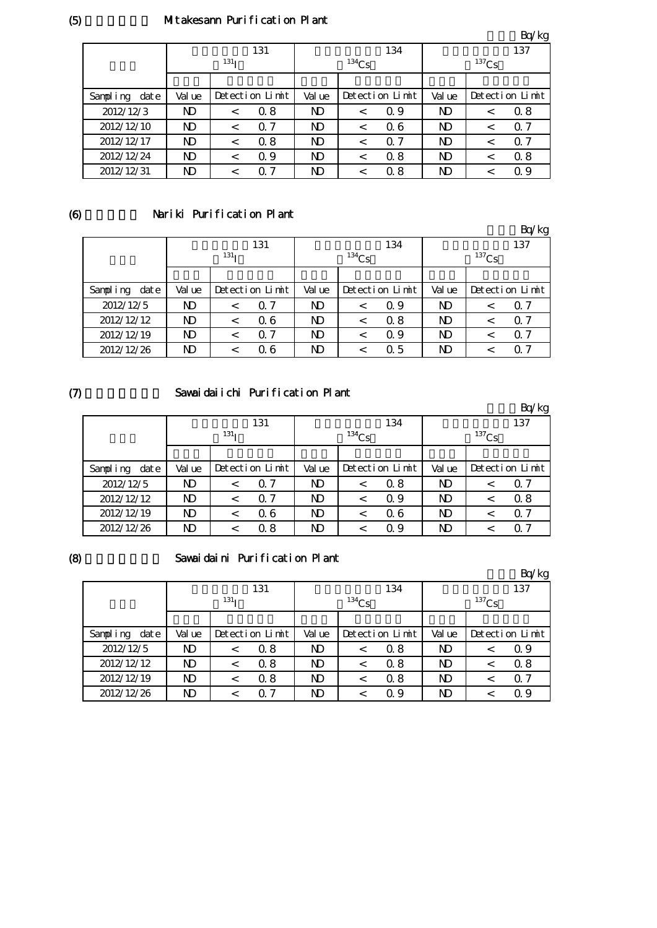# Mitakesann Purification Plant

|                   |           |                  |                 |                |                 |            |           |                 | Bq/kg      |  |
|-------------------|-----------|------------------|-----------------|----------------|-----------------|------------|-----------|-----------------|------------|--|
|                   |           |                  | 131             |                |                 | 134        | 137       |                 |            |  |
|                   |           | 131 <sub>T</sub> |                 |                | $134$ Cs        |            |           | $137$ Cs        |            |  |
|                   |           |                  |                 |                |                 |            |           |                 |            |  |
| Sampling<br>dat e | Val ue    |                  | Detection Limit |                | Detection Limit |            | Val ue    | Detection Limit |            |  |
| 2012/12/3         | ND        | $\,<\,$          | 0.8             | N)             | $\,<\,$         | Q 9        | ND        | <               | 0.8        |  |
| 2012/12/10        | ND        | $\,<\,$          | $\Omega$ 7      | N <sub>D</sub> | $\,<\,$         | 06         | <b>ND</b> | <               | $\Omega$ 7 |  |
| 2012/12/17        | ND        | $\,<\,$          | 0.8             | N <sub>D</sub> | $\,<\,$         | $\Omega$ 7 | ND        |                 | $\Omega$ 7 |  |
| 2012/12/24        | <b>ND</b> | $\,<\,$          | Q 9             | ND             | $\,<\,$         | 0.8        | ND        |                 | 0.8        |  |
| 2012/12/31        | ND        | $\,<\,$          | 7<br>Ω          | ND             | <               | 0.8        | ND        |                 | Q 9        |  |

## (6)

# Nariki Purification Plant

|                  |                  |         |                 |          |                 |     |            |  | Bq/kg           |
|------------------|------------------|---------|-----------------|----------|-----------------|-----|------------|--|-----------------|
|                  | 131              |         |                 | 134      |                 |     | 137        |  |                 |
|                  | 131 <sub>T</sub> |         |                 | $134$ Cs |                 |     | $^{137}Cs$ |  |                 |
|                  |                  |         |                 |          |                 |     |            |  |                 |
| date<br>Sampling | Val ue           |         | Detection Limit | Val ue   | Detection Limit |     | Val ue     |  | Detection Limit |
| 2012/12/5        | ND               |         | $\Omega$ 7      | ND       | $\,<\,$         | Q 9 | ND         |  | $\Omega$ 7      |
| 2012/12/12       | ND               | $\,<\,$ | 06              | N)       | $\,<\,$         | 0.8 | ND         |  | $\Omega$ 7      |
| 2012/12/19       | ND               | $\,<\,$ | $\Omega$ 7      | ND       | <               | Q 9 | ND         |  | $\Omega$ 7      |
| 2012/12/26       | ND               |         | Q 6             | ND.      |                 | 0.5 | ND         |  | $\Omega$ 7      |

# $(7)$

## Sawaidaiichi Purification Plant

|                  |                  |       |                 |            |                 |     |            |  | Bq/kg           |
|------------------|------------------|-------|-----------------|------------|-----------------|-----|------------|--|-----------------|
|                  |                  |       | 131             |            |                 | 134 | 137        |  |                 |
|                  | 131 <sub>T</sub> |       |                 | $^{134}Cs$ |                 |     | $^{137}Cs$ |  |                 |
|                  |                  |       |                 |            |                 |     |            |  |                 |
| date<br>Sampling | Val ue           |       | Detection Limit |            | Detection Limit |     | Val ue     |  | Detection Limit |
| 2012/12/5        | ND               | <     | $\Omega$ 7      | ND         | <               | 0.8 | ND         |  | $\Omega$ 7      |
| 2012/12/12       | ND               | <     | 0.7             | ND         | $\,<\,$         | Q 9 | ND         |  | 0.8             |
| 2012/12/19       | ND               | $\,<$ | 06              | ND         | <               | 06  | ND         |  | 0.7             |
| 2012/12/26       | ND               |       | 0.8             | ND         |                 | Q 9 | ND         |  | $\Omega$ 7      |

#### (8)

#### Sawaidaini Purification Plant

|                  |                  |         |                 |            |                 |     |            |  | Bq/kg           |
|------------------|------------------|---------|-----------------|------------|-----------------|-----|------------|--|-----------------|
|                  | 131              |         |                 |            |                 | 134 | 137        |  |                 |
|                  | 131 <sub>T</sub> |         |                 | $^{134}Cs$ |                 |     | $^{137}Cs$ |  |                 |
|                  |                  |         |                 |            |                 |     |            |  |                 |
| Sampling<br>date | Val ue           |         | Detection Limit |            | Detection Limit |     | Val ue     |  | Detection Limit |
| 2012/12/5        | ND               |         | 0.8             | ND         | $\,<\,$         | Q 8 | ND         |  | Q 9             |
| 2012/12/12       | ND               | $\,<\,$ | 0.8             | ND         | $\,<\,$         | 0.8 | ND         |  | 0.8             |
| 2012/12/19       | ND               | $\,<\,$ | 0.8             | ND         | $\,<\,$         | 0.8 | ND         |  | $\Omega$ 7      |
| 2012/12/26       | ND               |         | $\Omega$ 7      | N)         | <               | 0.9 | <b>ND</b>  |  | 0.9             |

(5)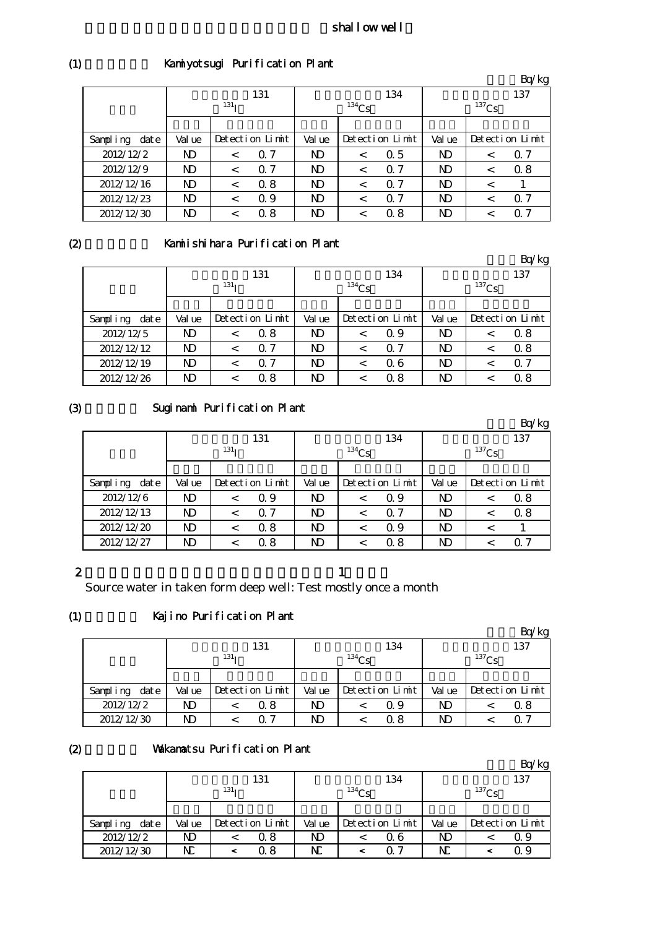## shallow well

|  | Kamiyotsugi Purification Plant |
|--|--------------------------------|
|--|--------------------------------|

|                  |           |                  |                 |           |                 |            |           |                 | Bq/kg      |  |
|------------------|-----------|------------------|-----------------|-----------|-----------------|------------|-----------|-----------------|------------|--|
|                  |           |                  | 131             |           |                 | 134        | 137       |                 |            |  |
|                  |           | 131 <sub>T</sub> |                 |           | $134$ Cs        |            |           | $137$ Cs        |            |  |
|                  |           |                  |                 |           |                 |            |           |                 |            |  |
| Sampling<br>date | Val ue    |                  | Detection Limit |           | Detection Limit |            | Val ue    | Detection Limit |            |  |
| 2012/12/2        | <b>ND</b> | $\,<\,$          | $\Omega$ 7      | <b>ND</b> | $\,<\,$         | 0.5        | <b>ND</b> | $\,<\,$         | $\Omega$ 7 |  |
| 2012/12/9        | ND        |                  | $\Omega$ 7      | N)        | $\,<\,$         | $\Omega$ 7 | <b>ND</b> |                 | 0.8        |  |
| 2012/12/16       | ND        | $\,<\,$          | 0.8             | N)        | $\,<\,$         | $\Omega$ 7 | <b>ND</b> |                 |            |  |
| 2012/12/23       | <b>ND</b> |                  | 0.9             | <b>ND</b> | $\,<\,$         | $\Omega$ 7 | <b>ND</b> |                 | $\Omega$ 7 |  |
| 2012/12/30       | ND        |                  | 0.8             | ND        | <               | 0. 8       | ND        |                 | Ω.<br>-7   |  |

 $(2)$ 

# Kamiishihara Purification Plant

|                  |                  |         |                 |          |                 |     |          |                 | Bq/kg      |
|------------------|------------------|---------|-----------------|----------|-----------------|-----|----------|-----------------|------------|
|                  |                  |         | 131             |          |                 | 134 | 137      |                 |            |
|                  | 131 <sub>T</sub> |         |                 | $134$ Cs |                 |     | $137$ Cs |                 |            |
|                  |                  |         |                 |          |                 |     |          |                 |            |
| date<br>Sampling | Val ue           |         | Detection Limit |          | Detection Limit |     | Val ue   | Detection Limit |            |
| 2012/12/5        | ND               | $\,<\,$ | 0.8             | ND       | $\,<\,$         | Q 9 | ND       |                 | 0.8        |
| 2012/12/12       | ND               |         | $\Omega$ 7      | ND.      | $\,<\,$         | Q 7 | N)       |                 | 0.8        |
| 2012/12/19       | ND               | $\,<\,$ | $\Omega$ 7      | ND.      | $\,<\,$         | Q 6 | ND       |                 | $\Omega$ 7 |
| 2012/12/26       | ND               |         | 0.8             | ND.      |                 | 0.8 | ND       |                 | 0.8        |

(3)

# Suginami Purification Plant

|                  |                  |         |                 |                |                 |            |          |     | Bq/kg           |
|------------------|------------------|---------|-----------------|----------------|-----------------|------------|----------|-----|-----------------|
|                  | 131              |         |                 | 134            |                 |            |          | 137 |                 |
|                  | 131 <sub>T</sub> |         |                 | $134$ Cs       |                 |            | $137$ Cs |     |                 |
|                  |                  |         |                 |                |                 |            |          |     |                 |
| Sampling<br>date | Val ue           |         | Detection Limit | Val ue         | Detection Limit |            | Val ue   |     | Detection Limit |
| 2012/12/6        | N)               | $\,<\,$ | Q 9             | ND             | <               | Q 9        | ND       |     | 0.8             |
| 2012/12/13       | <b>ND</b>        | $\,<\,$ | $\Omega$ 7      | ND.            | <               | $\Omega$ 7 | ND       |     | 0.8             |
| 2012/12/20       | <b>ND</b>        | $\,<\,$ | 0.8             | N <sub>D</sub> | <               | 0.9        | N)       |     |                 |
| 2012/12/27       | ND               |         | 0.8             | ND             |                 | 0.8        | ND       |     | 0 7             |

## 2

the state  $\mathbf n$  -axis in the state  $\mathbf n$  -axis in the state  $\mathbf n$ 

Source water in taken form deep well: Test mostly once a month

#### (1) Kajino Purification Plant

|                   |                  |  |                 |            |  |                 |            |  | Bq/kg           |
|-------------------|------------------|--|-----------------|------------|--|-----------------|------------|--|-----------------|
|                   | 131              |  |                 |            |  | 134             | 137        |  |                 |
|                   | 131 <sub>T</sub> |  |                 | $^{134}Cs$ |  |                 | $^{137}Cs$ |  |                 |
|                   |                  |  |                 |            |  |                 |            |  |                 |
| dat e<br>Sampling | Val ue           |  | Detection Limit | Val ue     |  | Detection Limit | Val ue     |  | Detection Limit |
| 2012/12/2         | ND               |  | Q 8             | ND.        |  | Q 9             | ND         |  | 0. 8            |
| 2012/12/30        | ND               |  | 0. 7            | ND         |  | Q 8             | ND         |  | ი 7             |

## (2)

# Vakamatsu Purification Plant

|                  |                  |  |                 |        |            |                 |        |            | Bq/kg           |  |
|------------------|------------------|--|-----------------|--------|------------|-----------------|--------|------------|-----------------|--|
|                  |                  |  | 131             |        |            | 134             | 137    |            |                 |  |
|                  | 131 <sub>T</sub> |  |                 |        | $^{134}Cs$ |                 |        | $^{137}Cs$ |                 |  |
|                  |                  |  |                 |        |            |                 |        |            |                 |  |
| Sampling<br>date | Val ue           |  | Detection Limit | Val ue |            | Detection Limit | Val ue |            | Detection Limit |  |
| 2012/12/2        | ND               |  | Q 8             | ND     |            | Q 6             | ND     |            | Q 9             |  |
| 2012/12/30       | N                |  | $\alpha$ 8      | NC     |            | 0.7             | N      |            | 0.9             |  |

(1)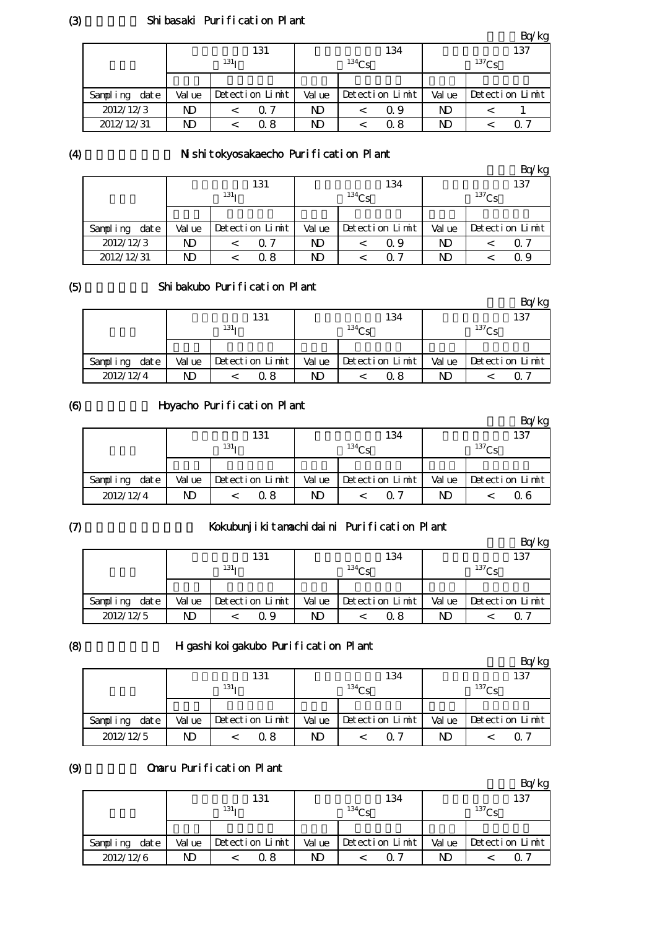## Shibasaki Purification Plant

|                  |                  |                 |     |            |                 |      |            |  | Bq/kg           |  |
|------------------|------------------|-----------------|-----|------------|-----------------|------|------------|--|-----------------|--|
|                  | 131              |                 |     |            |                 | 134  | 137        |  |                 |  |
|                  | 131 <sub>T</sub> |                 |     | $^{134}Cs$ |                 |      | $^{137}Cs$ |  |                 |  |
|                  |                  |                 |     |            |                 |      |            |  |                 |  |
| date<br>Sampling | Val ue           | Detection Limit |     | Val ue     | Detection Limit |      | Val ue     |  | Detection Limit |  |
| 2012/12/3        | ND               |                 | Q 7 | ND         |                 | Q 9  | ND         |  |                 |  |
| 2012/12/31       | ND               |                 | Q 8 | ND         |                 | 0. 8 | ND         |  | ი 7             |  |

#### (4)

# N shitokyosakaecho Purification Plant

|                   |        |                  |                 |        |            |                 |        |            | Bq/kg           |
|-------------------|--------|------------------|-----------------|--------|------------|-----------------|--------|------------|-----------------|
|                   |        |                  | 131             |        |            | 134             |        |            | 137             |
|                   |        | 131 <sub>T</sub> |                 |        | $^{134}Cs$ |                 |        | $^{137}Cs$ |                 |
|                   |        |                  |                 |        |            |                 |        |            |                 |
| dat e<br>Sampling | Val ue |                  | Detection Limit | Val ue |            | Detection Limit | Val ue |            | Detection Limit |
| 2012/12/3         | ND     |                  | Q 7             | ND.    |            | Q 9             | ND     |            | Q 7             |
| 2012/12/31        | ND     |                  | Q 8             | ND     |            | ი 7             | ND     |            | Ω9              |

## (5)

# Shibakubo Purification Plant

|                  |        |                  |        |                   |        | Bq/kg           |
|------------------|--------|------------------|--------|-------------------|--------|-----------------|
|                  |        | 131              |        | 134               |        | 137             |
|                  |        | 131 <sub>T</sub> |        | 134C <sub>c</sub> |        | $^{137}$ Cs     |
|                  |        |                  |        |                   |        |                 |
| date<br>Sampling | Val ue | Detection Limit  | Val ue | Detection Limit   | Val ue | Detection Limit |
| 2012/12/4        | ND     | 0. 8             | ND     | 0. 8              | ND     |                 |

#### (6) Hoyacho Purification Plant

|                  |        |                      |        |                 |        | Bq/kg           |
|------------------|--------|----------------------|--------|-----------------|--------|-----------------|
|                  |        | 131                  |        | 134             |        | 137             |
|                  |        | 131 <sub>T</sub>     |        | $^{134}Cs$      |        | $^{137}$ Cs     |
|                  |        |                      |        |                 |        |                 |
| date<br>Sampling | Val ue | $Detecti$ on $Limit$ | Val ue | Detection Limit | Val ue | Detection Limit |
| 2012/12/4        | ND     | Q 8                  | ND     | 0 7             | ND     | Ω6              |

## $(7)$

# Kokubunjikitamachidaini Purification Plant

|                  |        |                  |                           |            | Bq/kg           |
|------------------|--------|------------------|---------------------------|------------|-----------------|
|                  |        | 131              |                           | 134        | 137             |
|                  |        | 131 <sub>T</sub> | $134$ Cs                  |            | $^{137}$ Cs     |
|                  |        |                  |                           |            |                 |
| date<br>Sampling | Val ue | Detection Limit  | Val ue<br>Detection Limit | Val ue     | Detection Limit |
| 2012/12/5        | ND     | Q 9              | ND                        | ND<br>0. 8 | Q 7             |

## (8)

# H gashikoigakubo Purification Plant

|               |        |                  |        |                 |        | Bq/kg             |
|---------------|--------|------------------|--------|-----------------|--------|-------------------|
|               |        | 131              |        | 134             |        | 137               |
|               |        | 131 <sub>T</sub> |        | $^{134}$ Cs     |        | 137C <sub>c</sub> |
|               |        |                  |        |                 |        |                   |
| Sampling date | Val ue | Detection Limit  | Val ue | Detection Limit | Val ue | Detection Limit   |
| 2012/12/5     | N)     | 0. 8             | ND     | O 7             | ND     | O 7               |

#### (9) Omaru Purification Plant

|               |        |                  |        |                 |        | Bq/kg           |
|---------------|--------|------------------|--------|-----------------|--------|-----------------|
|               |        | 131              |        | 134             |        | 137             |
|               |        | 131 <sub>T</sub> |        | $134$ Cs        |        | $137$ Cs        |
|               |        |                  |        |                 |        |                 |
| Sampling date | Val ue | Detection Limit  | Val ue | Detection Limit | Val ue | Detection Limit |
| 2012/12/6     | ND     | Q 8              | ND     | 0 7             | ND     | 07              |

(3)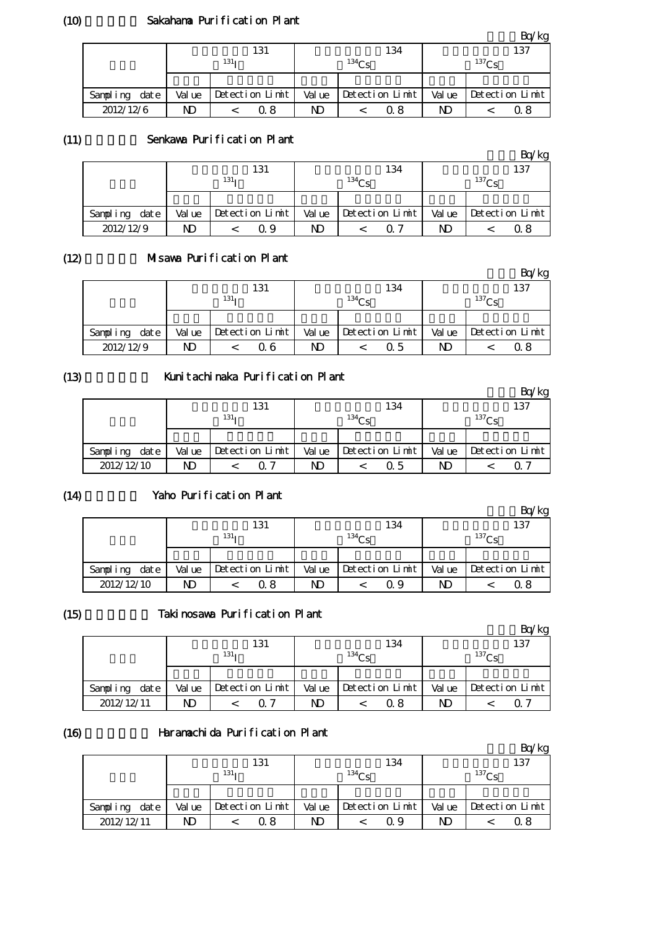## Sakahama Purification Plant

|               |        |                  |        |                   |        | $-4.5$            |
|---------------|--------|------------------|--------|-------------------|--------|-------------------|
|               |        | 131              |        | 134               |        | 137               |
|               |        | 131 <sub>T</sub> |        | 134C <sub>c</sub> |        | 137C <sub>c</sub> |
|               |        |                  |        |                   |        |                   |
| Sampling date | Val ue | Detection Limit  | Val ue | Detection Limit   | Val ue | Detection Limit   |
| 2012/12/6     | ND     | Q 8              | ND     | 0 8               | ND     | Ω8                |

#### (11) Senkawa Purification Plant

|                  |        |                  |        |                   |    | Bq/kg                 |
|------------------|--------|------------------|--------|-------------------|----|-----------------------|
|                  |        | 131              |        | 134               |    | 137                   |
|                  |        | 131 <sub>T</sub> |        | 134C <sub>c</sub> |    | $^{137}$ Cs           |
|                  |        |                  |        |                   |    |                       |
| Sampling<br>date | Val ue | Detection Limit  | Val ue | Detection Limit   |    | Value Detection Limit |
| 2012/12/9        | ND     | G G              | ND     | ∩ 7               | ND | 0.8                   |

#### (12) Misawa Purification Plant

|                  |        |                  |        |                   |        | Bq/kg             |
|------------------|--------|------------------|--------|-------------------|--------|-------------------|
|                  |        | 131              |        | 134               |        | 137               |
|                  |        | 131 <sub>T</sub> |        | 134C <sub>c</sub> |        | 137C <sub>c</sub> |
|                  |        |                  |        |                   |        |                   |
| Sampling<br>date | Val ue | Detection Limit  | Val ue | Detection Limit   | Val ue | Detection Limit   |
| 2012/12/9        | ND     | Q 6              | ND     | Ω5                | ND     | Ω8                |

# (13)

# Kunitachinaka Purification Plant

|                  |        | 131                  |        | 134                  |        | 137             |
|------------------|--------|----------------------|--------|----------------------|--------|-----------------|
|                  |        | $131_1$              |        | 134C <sub>S</sub>    |        | $^{137}$ Cs     |
|                  |        |                      |        |                      |        |                 |
| date<br>Sampling | Val ue | $Detecti$ on $Limit$ | Val ue | $Detecti$ on $Limit$ | Val ue | Detection Limit |
| 2012/12/10       | ND     | 0. 7                 | ND     | Q 5                  | ND     |                 |

# $(14)$

# Yaho Purification Plant

|                  |        |                  |        |                   |        | ′kg               |
|------------------|--------|------------------|--------|-------------------|--------|-------------------|
|                  |        | 131              |        | 134               |        | 137               |
|                  |        | 131 <sub>T</sub> |        | 134C <sub>c</sub> |        | 137C <sub>c</sub> |
|                  |        |                  |        |                   |        |                   |
| date<br>Sampling | Val ue | Detection Limit  | Val ue | Detection Limit   | Val ue | Detection Limit   |
| 2012/12/10       | ND     | 0. 8             | ND     | Q 9               | ND     | 0. 8              |

#### (15)

# Takinosawa Purification Plant

|                   |        |                  |        |                 |    | Bq/kg                 |
|-------------------|--------|------------------|--------|-----------------|----|-----------------------|
|                   |        | 131              |        | 134             |    | 137                   |
|                   |        | 131 <sub>T</sub> |        | $^{134}Cs$      |    | $^{137}$ Cs           |
|                   |        |                  |        |                 |    |                       |
| Sampling<br>dat e | Val ue | Detection Limit  | Val ue | Detection Limit |    | Value Detection Limit |
| 2012/12/11        | ND     | ∩ 7              | ND     | 0 8             | ND | ი 7                   |

## (16)

## Haramachida Purification Plant

|                  |        |                  |        |                   |        | n/kg            |
|------------------|--------|------------------|--------|-------------------|--------|-----------------|
|                  |        | 131              |        | 134               |        | 137             |
|                  |        | 131 <sub>T</sub> |        | 134C <sub>c</sub> |        | $^{137}$ Cs     |
|                  |        |                  |        |                   |        |                 |
| date<br>Sampling | Val ue | Detection Limit  | Val ue | Detection Limit   | Val ue | Detection Limit |
| 2012/12/11       | ND     | Q 8              | ND     | Q 9               | ND     | 0. 8            |

(10)

 $Rn/kg$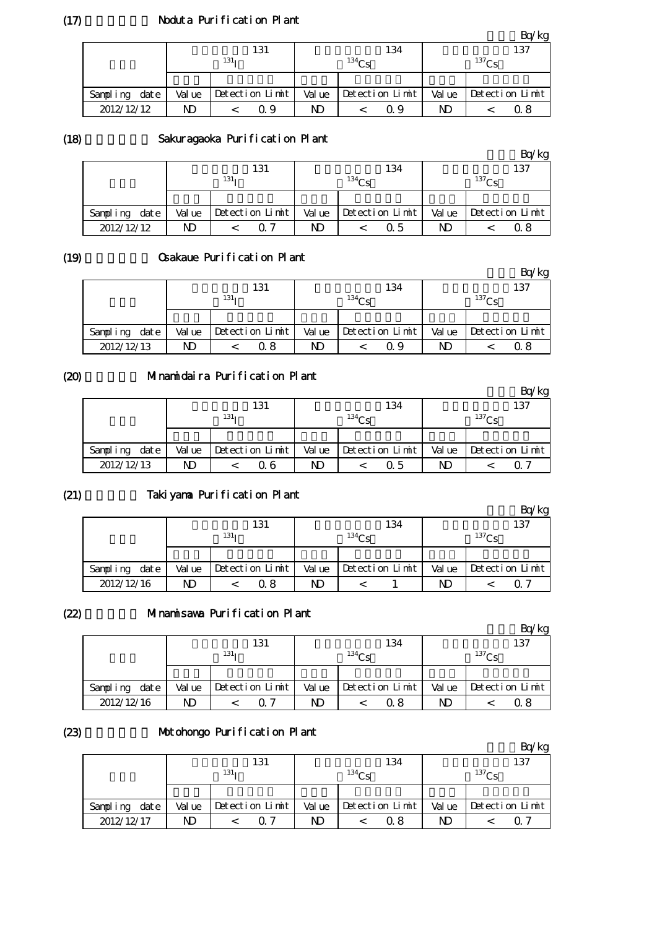## Noduta Purification Plant

|                  |        |                  |        |                 |        | $k$ g           |
|------------------|--------|------------------|--------|-----------------|--------|-----------------|
|                  |        | 131              |        | 134             |        | 137             |
|                  |        | 131 <sub>T</sub> |        | $^{134}$ Ce     |        | $^{137}$ Cs     |
|                  |        |                  |        |                 |        |                 |
| date<br>Sampling | Val ue | Detection Limit  | Val ue | Detection Limit | Val ue | Detection Limit |
| 2012/12/12       | ND     | Q 9              | ND     | Q 9             | ND     | Ω8              |

## (18)

#### Sakuragaoka Purification Plant

|               |        |                  |        |                 |        | Bq/kg           |
|---------------|--------|------------------|--------|-----------------|--------|-----------------|
|               |        | 131              |        | 134             |        | 137             |
|               |        | 131 <sub>T</sub> |        | $^{134}Cs$      |        | $^{137}$ Cs     |
|               |        |                  |        |                 |        |                 |
| Sampling date | Val ue | Detection Limit  | Val ue | Detection Limit | Val ue | Detection Limit |
| 2012/12/12    | ND     | 0. 7             | ND     | Q 5             | ND     | 0. R            |

#### (19)

## Osakaue Purification Plant

|            |      |        |                  |                 |        |             |                 |        |             | Bq/kg           |
|------------|------|--------|------------------|-----------------|--------|-------------|-----------------|--------|-------------|-----------------|
|            |      |        |                  | 131             |        |             | 134             |        |             | 137             |
|            |      |        | 131 <sub>T</sub> |                 |        | $^{134}$ Cs |                 |        | $^{137}$ Cs |                 |
|            |      |        |                  |                 |        |             |                 |        |             |                 |
| Sampling   | date | Val ue |                  | Detection Limit | Val ue |             | Detection Limit | Val ue |             | Detection Limit |
| 2012/12/13 |      | ND     |                  | Q 8             | ND     |             | Q 9             | ND     |             | 0. 8            |

## (20)

# Minamidaira Purification Plant

|                  |        |                      |        |                   |        | Bq/kg           |
|------------------|--------|----------------------|--------|-------------------|--------|-----------------|
|                  |        | 131                  |        | 134               |        | 137             |
|                  |        | 131 <sub>T</sub>     |        | 134C <sub>S</sub> |        | $^{137}Cs$      |
|                  |        |                      |        |                   |        |                 |
| Sampling<br>date | Val ue | $Detecti$ on $Limit$ | Val ue | Detection Limit   | Val ue | Detection Limit |
| 2012/12/13       | ND     | Q 6                  | ND     | Q 5               | ND     | റ 7             |

#### (21)

# Takiyama Purification Plant

|                  |        |                  |        |                   |        | kg              |
|------------------|--------|------------------|--------|-------------------|--------|-----------------|
|                  |        | 131              |        | 134               |        | 137             |
|                  |        | 131 <sub>T</sub> |        | 134C <sub>c</sub> |        | $^{137}$ Cs     |
|                  |        |                  |        |                   |        |                 |
| date<br>Sampling | Val ue | Detection Limit  | Val ue | Detection Limit   | Val ue | Detection Limit |
| 2012/12/16       | ND     | Q 8              | ND     |                   | ND     | ( ) ·           |

#### (22)

# Minamisawa Purification Plant

|                  |        | 131              |        | 134               |        | 137             |
|------------------|--------|------------------|--------|-------------------|--------|-----------------|
|                  |        | 131 <sub>T</sub> |        | 134C <sub>c</sub> |        | $^{137}$ Cs     |
|                  |        |                  |        |                   |        |                 |
| date<br>Sampling | Val ue | Detection Limit  | Val ue | Detection Limit   | Val ue | Detection Limit |
| 2012/12/16       | ND     |                  | ND     | 0 8               | ND     | Ω8              |

#### (23)

## Motohongo Purification Plant

|                  | . .    |                  |        |                   |        | Bq/kg             |
|------------------|--------|------------------|--------|-------------------|--------|-------------------|
|                  |        | 131              |        | 134               |        | 137               |
|                  |        | 131 <sub>T</sub> |        | 134C <sub>c</sub> |        | 137C <sub>S</sub> |
|                  |        |                  |        |                   |        |                   |
| date<br>Sampling | Val ue | Detection Limit  | Val ue | Detection Limit   | Val ue | Detection Limit   |
| 2012/12/17       | ND     | ი 7              | ND     | 0.8               | ND     | O 7               |

 $(17)$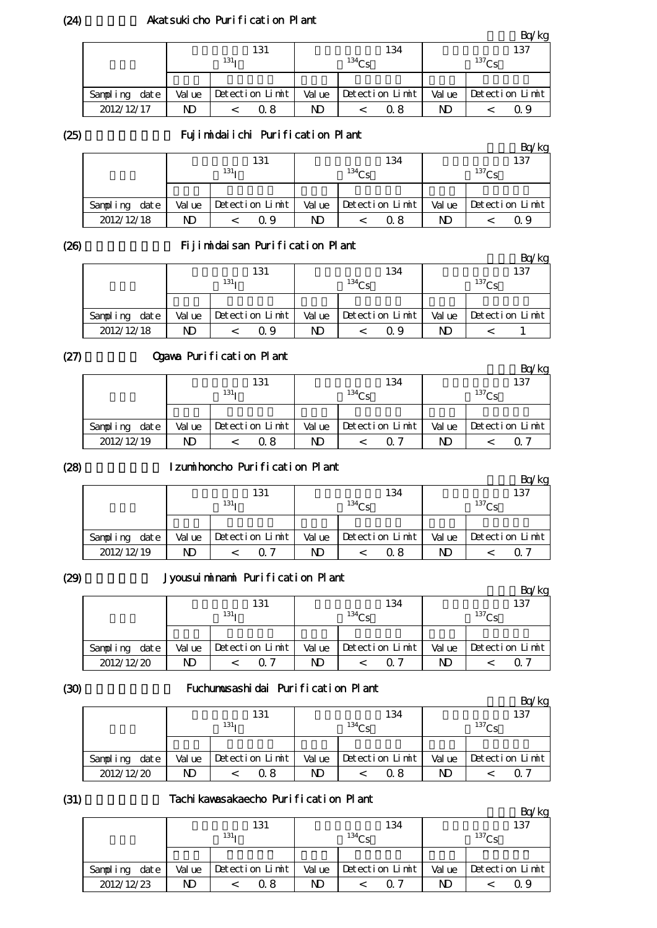## Akatsukicho Purification Plant

|                  |        |                  |        |                 |        | $k$ g             |
|------------------|--------|------------------|--------|-----------------|--------|-------------------|
|                  |        | 131              |        | 134             |        | 137               |
|                  |        | 131 <sub>T</sub> |        | $^{134}$ Cc     |        | 137C <sub>c</sub> |
|                  |        |                  |        |                 |        |                   |
| date<br>Sampling | Val ue | Detection Limit  | Val ue | Detection Limit | Val ue | Detection Limit   |
| 2012/12/17       | ND     | Q 8              | ND     | 0. 8            | ND     | Ω9                |

(25)

#### Fujimidaiichi Purification Plant

|                  |        |                  |        |                 |        | Bq/kg           |
|------------------|--------|------------------|--------|-----------------|--------|-----------------|
|                  |        | 131              |        | 134             |        | 137             |
|                  |        | 131 <sub>T</sub> |        | $134C_c$        |        | $^{137}Cs$      |
|                  |        |                  |        |                 |        |                 |
| date<br>Sampling | Val ue | Detection Limit  | Val ue | Detection Limit | Val ue | Detection Limit |
| 2012/12/18       | ND     | Q 9              | ND     | 0 8             | ND     | Q 9             |

(26)

# Fijimidaisan Purification Plant

|                  |        | 131              |        | 134               |        | 137               |
|------------------|--------|------------------|--------|-------------------|--------|-------------------|
|                  |        | 131 <sub>T</sub> |        | 134C <sub>c</sub> |        | 137C <sub>c</sub> |
|                  |        |                  |        |                   |        |                   |
| date<br>Sampling | Val ue | Detection Limit  | Val ue | Detection Limit   | Val ue | Detection Limit   |
| 2012/12/18       | ND     | Q 9              | ND     | Q 9               | ND     |                   |

## (27)

## Ogawa Purification Plant

|               |        |                  |        |                 |        | Bq/kg           |
|---------------|--------|------------------|--------|-----------------|--------|-----------------|
|               |        | 131              |        | 134             |        | 137             |
|               |        | 131 <sub>T</sub> |        | 134Cs           |        | $^{137}Cs$      |
|               |        |                  |        |                 |        |                 |
| Sampling date | Val ue | Detection Limit  | Val ue | Detection Limit | Val ue | Detection Limit |
| 2012/12/19    | ND     | Q 8              | ND     | ი 7             | ND     | O 7             |

#### (28)

## Izumihoncho Purification Plant

|                  |        |                  |        |                   |        | Bq/kg             |
|------------------|--------|------------------|--------|-------------------|--------|-------------------|
|                  |        | 131              |        | 134               |        | 137               |
|                  |        | 131 <sub>T</sub> |        | 134C <sub>c</sub> |        | 137C <sub>c</sub> |
|                  |        |                  |        |                   |        |                   |
| date<br>Sampling | Val ue | Detection Limit  | Val ue | Detection Limit   | Val ue | Detection Limit   |
| 2012/12/19       | ND     | ∩ 7              | ND     | 0.8               | ND     | O 7               |

## (29)

# Jyousuiminami Purification Plant

|            |      |        |                  | $5,0000$ can constant and constant of the constant of $\sim$ |        |                   |                 |        |             | Bq/kg           |
|------------|------|--------|------------------|--------------------------------------------------------------|--------|-------------------|-----------------|--------|-------------|-----------------|
|            |      |        |                  | 131                                                          |        |                   | 134             |        |             | 137             |
|            |      |        | 131 <sub>T</sub> |                                                              |        | 134C <sub>c</sub> |                 |        | $^{137}$ Cs |                 |
|            |      |        |                  |                                                              |        |                   |                 |        |             |                 |
| Sampling   | date | Val ue |                  | Detection Limit                                              | Val ue |                   | Detection Limit | Val ue |             | Detection Limit |
| 2012/12/20 |      | ND     |                  | ∩ 7                                                          | ND     |                   | ∩ 7             | ND     |             | ი 7             |

#### (30)

#### Fuchumusashidai Purification Plant

|                  |        | 131              |        | 134             |        | 137               |
|------------------|--------|------------------|--------|-----------------|--------|-------------------|
|                  |        | 131 <sub>T</sub> |        | $^{134}$ Ce     |        | 137C <sub>c</sub> |
|                  |        |                  |        |                 |        |                   |
| date<br>Sampling | Val ue | Detection Limit  | Val ue | Detection Limit | Val ue | Detection Limit   |
| 2012/12/20       | ND     | Q 8              | ND     | 0. 8            | ND     | 0.7               |

#### (31)

## Tachikawasakaecho Purification Plant

|                  |        |                  |        |                 |        | Bq/kg             |
|------------------|--------|------------------|--------|-----------------|--------|-------------------|
|                  |        | 131              |        | 134             |        | 137               |
|                  |        | 131 <sub>T</sub> |        | $^{134}$ Ce     |        | 137C <sub>c</sub> |
|                  |        |                  |        |                 |        |                   |
| date<br>Sampling | Val ue | Detection Limit  | Val ue | Detection Limit | Val ue | Detection Limit   |
| 2012/12/23       | ND     | Q 8              | ND     | <u>በ 7</u>      | ND     | Q 9               |

(24)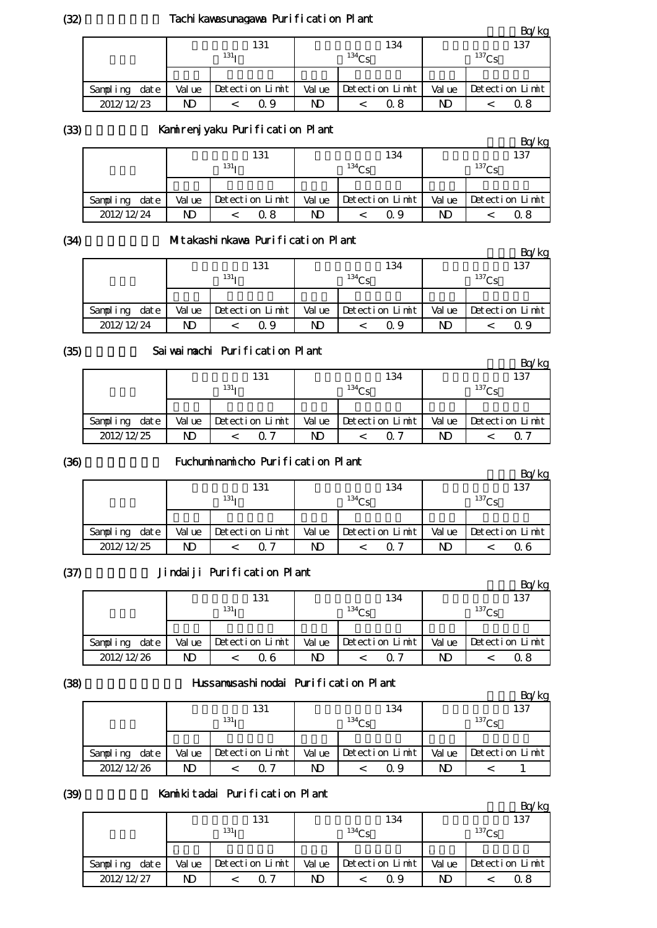## Tachi kawasunagawa Purification Plant

|                  |        | .                |        |                 |        | Bq/kg           |
|------------------|--------|------------------|--------|-----------------|--------|-----------------|
|                  |        | 131              |        | 134             |        | 137             |
|                  |        | 131 <sub>T</sub> |        | $^{134}$ Cs     |        | $^{137}$ Cs     |
|                  |        |                  |        |                 |        |                 |
| date<br>Sampling | Val ue | Detection Limit  | Val ue | Detection Limit | Val ue | Detection Limit |
| 2012/12/23       | ND     | Ω9               | ND     | 0 8             | ND     | Ω8              |

(33)

# Kamirenjyaku Purification Plant

|               |        |                      |        |                   |        | Bq/kg           |
|---------------|--------|----------------------|--------|-------------------|--------|-----------------|
|               |        | 131                  |        | 134               |        | 137             |
|               |        | 131 <sub>T</sub>     |        | 134C <sub>S</sub> |        | $^{137}$ Cs     |
|               |        |                      |        |                   |        |                 |
| Sampling date | Val ue | $Detecti$ on $Limit$ | Val ue | Detection Limit   | Val ue | Detection Limit |
| 2012/12/24    | ND     | Q 8                  | ND     | Q 9               | ND     | 0. 8            |

(34)

## Mitakashinkawa Purification Plant

|               | --------------------- |                  |        |                 |        |                 |  |
|---------------|-----------------------|------------------|--------|-----------------|--------|-----------------|--|
|               |                       |                  |        |                 |        | Bq/kg           |  |
|               |                       | 131              |        | 134             |        | 137             |  |
|               |                       | 131 <sub>T</sub> |        | $^{134}$ Cs     |        | $^{137}$ Cs     |  |
|               |                       |                  |        |                 |        |                 |  |
| Sampling date | Val ue                | Detection Limit  | Val ue | Detection Limit | Val ue | Detection Limit |  |
| 2012/12/24    | ND                    | Q 9              | ND     | Q 9             | ND     | Q 9             |  |

(35)

## Saiwaimachi Purification Plant

|                  |        |                  |        |                 |        | Bq/kg           |
|------------------|--------|------------------|--------|-----------------|--------|-----------------|
|                  |        | 131              |        | 134             |        | 137             |
|                  |        | 131 <sub>T</sub> |        | $^{134}$ Ce     |        | $^{137}$ Cs     |
|                  |        |                  |        |                 |        |                 |
| date<br>Sampling | Val ue | Detection Limit  | Val ue | Detection Limit | Val ue | Detection Limit |
| 2012/12/25       | ND     | ∩ 7              | ND     | ი 7             | ND     | O 7             |

(36)

## Fuchuminamicho Purification Plant

|                  |        |                  |        |                   |        | Bq/kg           |
|------------------|--------|------------------|--------|-------------------|--------|-----------------|
|                  |        | 131              |        | 134               |        | 137             |
|                  |        | 131 <sub>T</sub> |        | 134C <sub>c</sub> |        | $^{137}$ Cs     |
|                  |        |                  |        |                   |        |                 |
| date<br>Sampling | Val ue | Detection Limit  | Val ue | Detection Limit   | Val ue | Detection Limit |
| 2012/12/25       | ND     | 07               | ND     | ი 7               | ND     | Ω6              |

#### (37)

### Jindaiji Purification Plant

|                  |        |                  |        |                 |        | Bq/kg             |
|------------------|--------|------------------|--------|-----------------|--------|-------------------|
|                  |        | 131              |        | 134             |        | 137               |
|                  |        | 131 <sub>T</sub> |        | 134Cs           |        | 137C <sub>S</sub> |
|                  |        |                  |        |                 |        |                   |
| Sampling<br>date | Val ue | Detection Limit  | Val ue | Detection Limit | Val ue | Detection Limit   |
| 2012/12/26       | ND     | Q 6              | ND     | ∩ 7             | ND     | Q 8               |

#### (38)

#### Hussamusashinodai Purification Plant

|                  |        |                  |        |                 |        | /kg               |
|------------------|--------|------------------|--------|-----------------|--------|-------------------|
|                  |        | 131              |        | 134             |        | 137               |
|                  |        | 131 <sub>T</sub> |        | $^{134}Cs$      |        | 137C <sub>S</sub> |
|                  |        |                  |        |                 |        |                   |
| Sampling<br>date | Val ue | Detection Limit  | Val ue | Detection Limit | Val ue | Detection Limit   |
| 2012/12/26       | ND     | ი 7              | ND     | Q 9             | ND     |                   |

## (39)

# Kamikitadai Purification Plant

|                  |        |                  |        |                   |        | $-4$              |
|------------------|--------|------------------|--------|-------------------|--------|-------------------|
|                  |        | 131              |        | 134               |        | 137               |
|                  |        | 131 <sub>T</sub> |        | 134C <sub>c</sub> |        | 137C <sub>c</sub> |
|                  |        |                  |        |                   |        |                   |
| Sampling<br>date | Val ue | Detection Limit  | Val ue | Detection Limit   | Val ue | Detection Limit   |
| 2012/12/27       | ND     | ገግ               | ND     | Ω9                | ND     | 0. 8              |

 $Rg/kg$ 

(32)